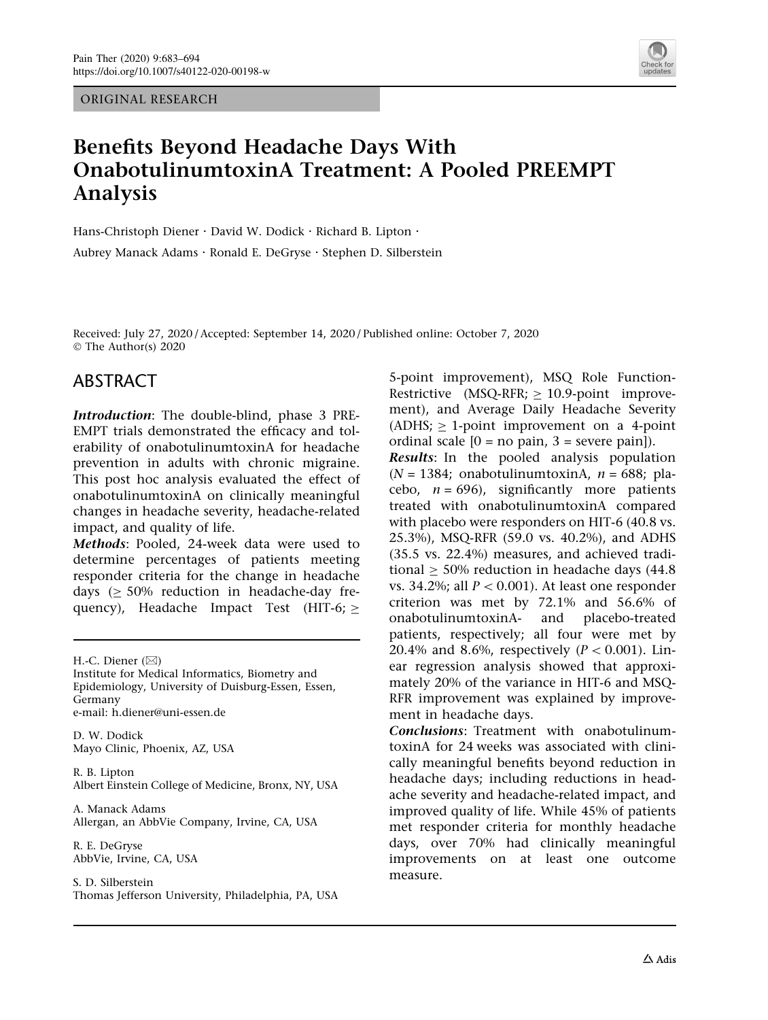ORIGINAL RESEARCH



# Benefits Beyond Headache Days With OnabotulinumtoxinA Treatment: A Pooled PREEMPT Analysis

Hans-Christoph Diener · David W. Dodick · Richard B. Lipton · Aubrey Manack Adams · Ronald E. DeGryse · Stephen D. Silberstein

Received: July 27, 2020 / Accepted: September 14, 2020 / Published online: October 7, 2020 © The Author(s) 2020

## ABSTRACT

Introduction: The double-blind, phase 3 PRE-EMPT trials demonstrated the efficacy and tolerability of onabotulinumtoxinA for headache prevention in adults with chronic migraine. This post hoc analysis evaluated the effect of onabotulinumtoxinA on clinically meaningful changes in headache severity, headache-related impact, and quality of life.

Methods: Pooled, 24-week data were used to determine percentages of patients meeting responder criteria for the change in headache days  $(> 50\%$  reduction in headache-day frequency), Headache Impact Test (HIT-6;  $\ge$ 

H.-C. Diener  $(\boxtimes)$ 

Institute for Medical Informatics, Biometry and Epidemiology, University of Duisburg-Essen, Essen, Germany e-mail: h.diener@uni-essen.de

D. W. Dodick Mayo Clinic, Phoenix, AZ, USA

R. B. Lipton Albert Einstein College of Medicine, Bronx, NY, USA

A. Manack Adams Allergan, an AbbVie Company, Irvine, CA, USA

R. E. DeGryse AbbVie, Irvine, CA, USA

S. D. Silberstein Thomas Jefferson University, Philadelphia, PA, USA 5-point improvement), MSQ Role Function-Restrictive  $(MSQ-RFR; > 10.9-point$  improvement), and Average Daily Headache Severity  $(ADHS; \geq 1$ -point improvement on a 4-point ordinal scale  $[0 = no pain, 3 = severe pain]$ . Results: In the pooled analysis population  $(N = 1384;$  onabotulinumtoxinA,  $n = 688;$  placebo,  $n = 696$ , significantly more patients treated with onabotulinumtoxinA compared with placebo were responders on HIT-6 (40.8 vs. 25.3%), MSQ-RFR (59.0 vs. 40.2%), and ADHS (35.5 vs. 22.4%) measures, and achieved traditional  $\geq$  50% reduction in headache days (44.8) vs. 34.2%; all  $P < 0.001$ ). At least one responder criterion was met by 72.1% and 56.6% of onabotulinumtoxinA- and placebo-treated patients, respectively; all four were met by 20.4% and 8.6%, respectively  $(P < 0.001)$ . Linear regression analysis showed that approximately 20% of the variance in HIT-6 and MSQ-RFR improvement was explained by improvement in headache days.

Conclusions: Treatment with onabotulinumtoxinA for 24 weeks was associated with clinically meaningful benefits beyond reduction in headache days; including reductions in headache severity and headache-related impact, and improved quality of life. While 45% of patients met responder criteria for monthly headache days, over 70% had clinically meaningful improvements on at least one outcome measure.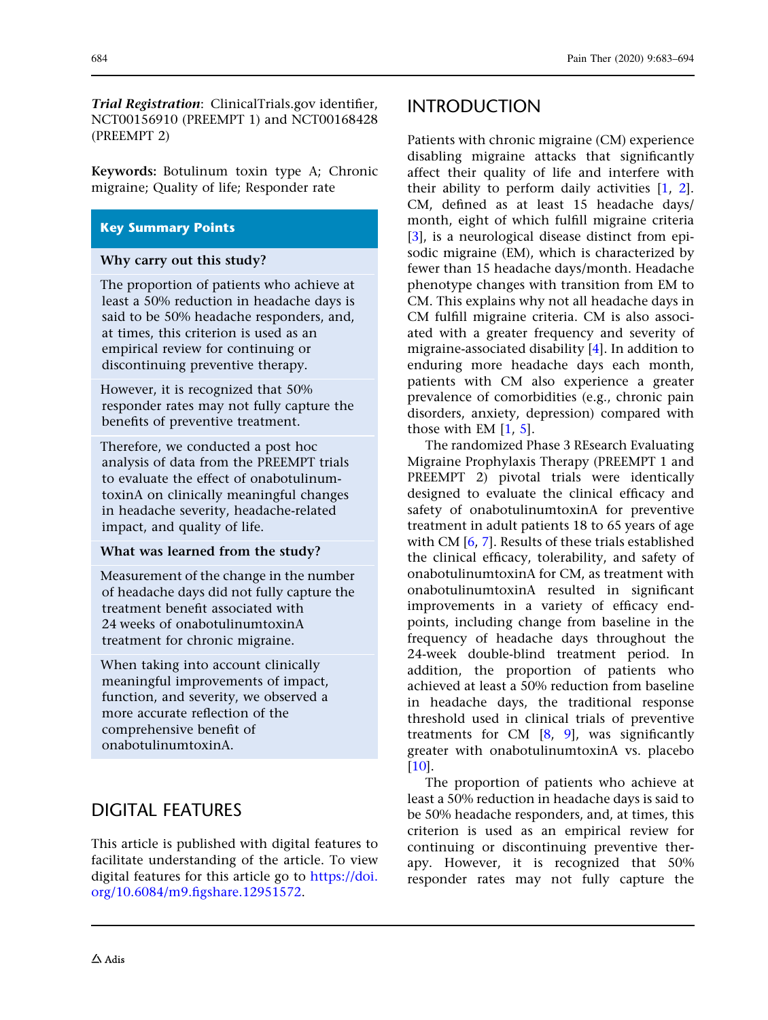Trial Registration: ClinicalTrials.gov identifier, NCT00156910 (PREEMPT 1) and NCT00168428 (PREEMPT 2)

Keywords: Botulinum toxin type A; Chronic migraine; Quality of life; Responder rate

### Key Summary Points

### Why carry out this study?

The proportion of patients who achieve at least a 50% reduction in headache days is said to be 50% headache responders, and, at times, this criterion is used as an empirical review for continuing or discontinuing preventive therapy.

However, it is recognized that 50% responder rates may not fully capture the benefits of preventive treatment.

Therefore, we conducted a post hoc analysis of data from the PREEMPT trials to evaluate the effect of onabotulinumtoxinA on clinically meaningful changes in headache severity, headache-related impact, and quality of life.

### What was learned from the study?

Measurement of the change in the number of headache days did not fully capture the treatment benefit associated with 24 weeks of onabotulinumtoxinA treatment for chronic migraine.

When taking into account clinically meaningful improvements of impact, function, and severity, we observed a more accurate reflection of the comprehensive benefit of onabotulinumtoxinA.

## DIGITAL FEATURES

This article is published with digital features to facilitate understanding of the article. To view digital features for this article go to [https://doi.](https://doi.org/10.6084/m9.figshare.12951572) [org/10.6084/m9.figshare.12951572.](https://doi.org/10.6084/m9.figshare.12951572)

## INTRODUCTION

Patients with chronic migraine (CM) experience disabling migraine attacks that significantly affect their quality of life and interfere with their ability to perform daily activities [[1,](#page-10-0) [2](#page-10-0)]. CM, defined as at least 15 headache days/ month, eight of which fulfill migraine criteria [\[3](#page-10-0)], is a neurological disease distinct from episodic migraine (EM), which is characterized by fewer than 15 headache days/month. Headache phenotype changes with transition from EM to CM. This explains why not all headache days in CM fulfill migraine criteria. CM is also associated with a greater frequency and severity of migraine-associated disability [\[4](#page-10-0)]. In addition to enduring more headache days each month, patients with CM also experience a greater prevalence of comorbidities (e.g., chronic pain disorders, anxiety, depression) compared with those with EM  $[1, 5]$  $[1, 5]$  $[1, 5]$ .

The randomized Phase 3 REsearch Evaluating Migraine Prophylaxis Therapy (PREEMPT 1 and PREEMPT 2) pivotal trials were identically designed to evaluate the clinical efficacy and safety of onabotulinumtoxinA for preventive treatment in adult patients 18 to 65 years of age with CM [[6](#page-10-0), [7](#page-10-0)]. Results of these trials established the clinical efficacy, tolerability, and safety of onabotulinumtoxinA for CM, as treatment with onabotulinumtoxinA resulted in significant improvements in a variety of efficacy endpoints, including change from baseline in the frequency of headache days throughout the 24-week double-blind treatment period. In addition, the proportion of patients who achieved at least a 50% reduction from baseline in headache days, the traditional response threshold used in clinical trials of preventive treatments for CM  $[8, 9]$  $[8, 9]$  $[8, 9]$  $[8, 9]$  $[8, 9]$ , was significantly greater with onabotulinumtoxinA vs. placebo [\[10\]](#page-10-0).

The proportion of patients who achieve at least a 50% reduction in headache days is said to be 50% headache responders, and, at times, this criterion is used as an empirical review for continuing or discontinuing preventive therapy. However, it is recognized that 50% responder rates may not fully capture the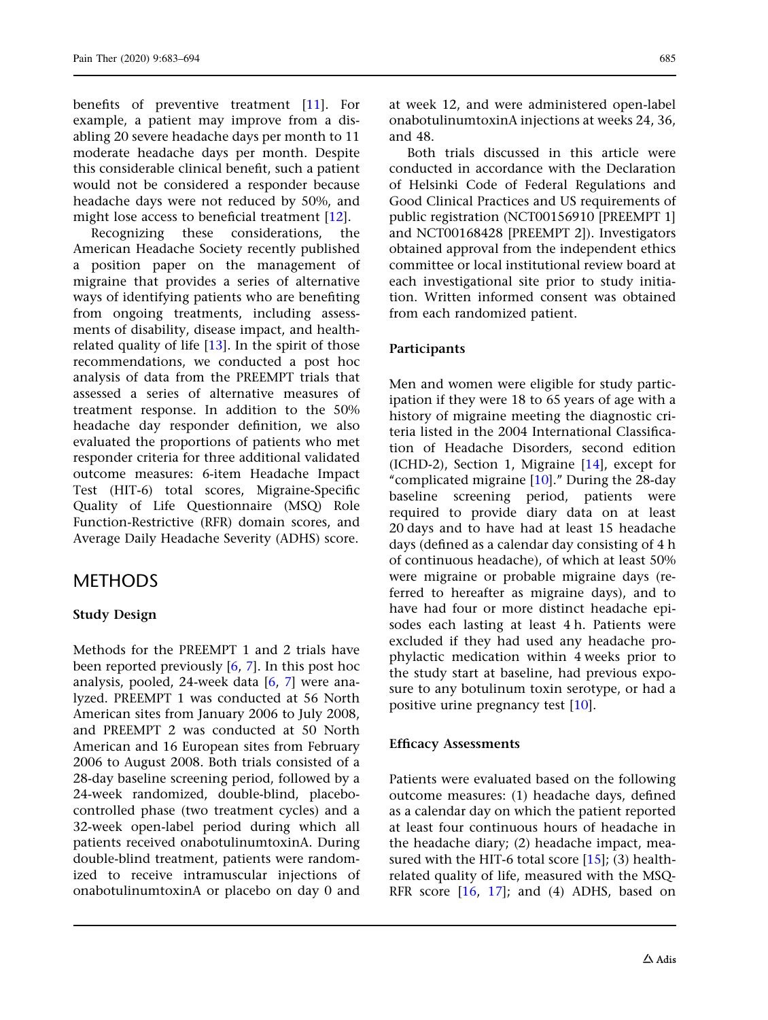benefits of preventive treatment [\[11\]](#page-10-0). For example, a patient may improve from a disabling 20 severe headache days per month to 11 moderate headache days per month. Despite this considerable clinical benefit, such a patient would not be considered a responder because headache days were not reduced by 50%, and might lose access to beneficial treatment [[12](#page-10-0)].

Recognizing these considerations, the American Headache Society recently published a position paper on the management of migraine that provides a series of alternative ways of identifying patients who are benefiting from ongoing treatments, including assessments of disability, disease impact, and healthrelated quality of life [[13\]](#page-10-0). In the spirit of those recommendations, we conducted a post hoc analysis of data from the PREEMPT trials that assessed a series of alternative measures of treatment response. In addition to the 50% headache day responder definition, we also evaluated the proportions of patients who met responder criteria for three additional validated outcome measures: 6-item Headache Impact Test (HIT-6) total scores, Migraine-Specific Quality of Life Questionnaire (MSQ) Role Function-Restrictive (RFR) domain scores, and Average Daily Headache Severity (ADHS) score.

### **METHODS**

### Study Design

Methods for the PREEMPT 1 and 2 trials have been reported previously [\[6,](#page-10-0) [7](#page-10-0)]. In this post hoc analysis, pooled, 24-week data  $[6, 7]$  $[6, 7]$  $[6, 7]$  $[6, 7]$  were analyzed. PREEMPT 1 was conducted at 56 North American sites from January 2006 to July 2008, and PREEMPT 2 was conducted at 50 North American and 16 European sites from February 2006 to August 2008. Both trials consisted of a 28-day baseline screening period, followed by a 24-week randomized, double-blind, placebocontrolled phase (two treatment cycles) and a 32-week open-label period during which all patients received onabotulinumtoxinA. During double-blind treatment, patients were randomized to receive intramuscular injections of onabotulinumtoxinA or placebo on day 0 and

at week 12, and were administered open-label onabotulinumtoxinA injections at weeks 24, 36, and 48.

Both trials discussed in this article were conducted in accordance with the Declaration of Helsinki Code of Federal Regulations and Good Clinical Practices and US requirements of public registration (NCT00156910 [PREEMPT 1] and NCT00168428 [PREEMPT 2]). Investigators obtained approval from the independent ethics committee or local institutional review board at each investigational site prior to study initiation. Written informed consent was obtained from each randomized patient.

### Participants

Men and women were eligible for study participation if they were 18 to 65 years of age with a history of migraine meeting the diagnostic criteria listed in the 2004 International Classification of Headache Disorders, second edition (ICHD-2), Section 1, Migraine [[14](#page-10-0)], except for "complicated migraine  $[10]$ ." During the 28-day baseline screening period, patients were required to provide diary data on at least 20 days and to have had at least 15 headache days (defined as a calendar day consisting of 4 h of continuous headache), of which at least 50% were migraine or probable migraine days (referred to hereafter as migraine days), and to have had four or more distinct headache episodes each lasting at least 4 h. Patients were excluded if they had used any headache prophylactic medication within 4 weeks prior to the study start at baseline, had previous exposure to any botulinum toxin serotype, or had a positive urine pregnancy test [\[10](#page-10-0)].

### Efficacy Assessments

Patients were evaluated based on the following outcome measures: (1) headache days, defined as a calendar day on which the patient reported at least four continuous hours of headache in the headache diary; (2) headache impact, measured with the HIT-6 total score  $[15]$ ; (3) healthrelated quality of life, measured with the MSQ-RFR score [\[16,](#page-11-0) [17\]](#page-11-0); and (4) ADHS, based on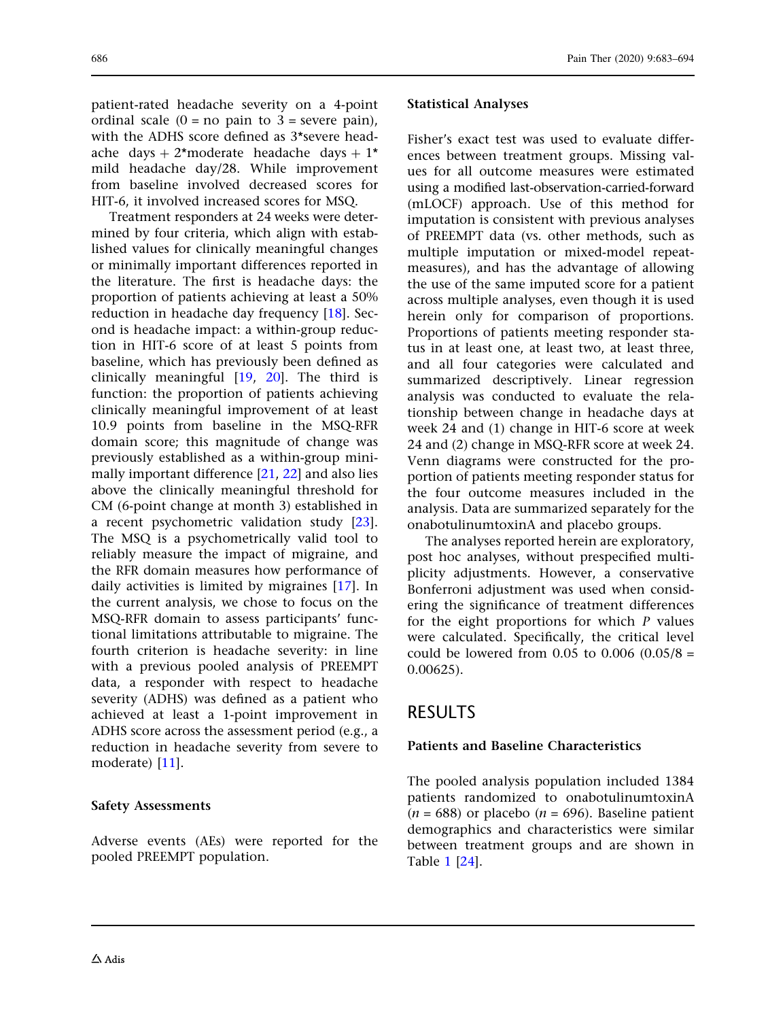patient-rated headache severity on a 4-point ordinal scale  $(0 = no \text{ pain to } 3 = \text{severe pain})$ . with the ADHS score defined as 3\*severe headache days + 2\*moderate headache days + 1\* mild headache day/28. While improvement from baseline involved decreased scores for HIT-6, it involved increased scores for MSQ.

Treatment responders at 24 weeks were determined by four criteria, which align with established values for clinically meaningful changes or minimally important differences reported in the literature. The first is headache days: the proportion of patients achieving at least a 50% reduction in headache day frequency [[18](#page-11-0)]. Second is headache impact: a within-group reduction in HIT-6 score of at least 5 points from baseline, which has previously been defined as clinically meaningful [[19](#page-11-0), [20\]](#page-11-0). The third is function: the proportion of patients achieving clinically meaningful improvement of at least 10.9 points from baseline in the MSQ-RFR domain score; this magnitude of change was previously established as a within-group minimally important difference [\[21,](#page-11-0) [22\]](#page-11-0) and also lies above the clinically meaningful threshold for CM (6-point change at month 3) established in a recent psychometric validation study [[23](#page-11-0)]. The MSQ is a psychometrically valid tool to reliably measure the impact of migraine, and the RFR domain measures how performance of daily activities is limited by migraines [\[17\]](#page-11-0). In the current analysis, we chose to focus on the MSQ-RFR domain to assess participants' functional limitations attributable to migraine. The fourth criterion is headache severity: in line with a previous pooled analysis of PREEMPT data, a responder with respect to headache severity (ADHS) was defined as a patient who achieved at least a 1-point improvement in ADHS score across the assessment period (e.g., a reduction in headache severity from severe to moderate) [\[11\]](#page-10-0).

#### Safety Assessments

Adverse events (AEs) were reported for the pooled PREEMPT population.

#### Statistical Analyses

Fisher's exact test was used to evaluate differences between treatment groups. Missing values for all outcome measures were estimated using a modified last-observation-carried-forward (mLOCF) approach. Use of this method for imputation is consistent with previous analyses of PREEMPT data (vs. other methods, such as multiple imputation or mixed-model repeatmeasures), and has the advantage of allowing the use of the same imputed score for a patient across multiple analyses, even though it is used herein only for comparison of proportions. Proportions of patients meeting responder status in at least one, at least two, at least three, and all four categories were calculated and summarized descriptively. Linear regression analysis was conducted to evaluate the relationship between change in headache days at week 24 and (1) change in HIT-6 score at week 24 and (2) change in MSQ-RFR score at week 24. Venn diagrams were constructed for the proportion of patients meeting responder status for the four outcome measures included in the analysis. Data are summarized separately for the onabotulinumtoxinA and placebo groups.

The analyses reported herein are exploratory, post hoc analyses, without prespecified multiplicity adjustments. However, a conservative Bonferroni adjustment was used when considering the significance of treatment differences for the eight proportions for which  *values* were calculated. Specifically, the critical level could be lowered from  $0.05$  to  $0.006$   $(0.05/8 =$ 0.00625).

### RESULTS

#### Patients and Baseline Characteristics

The pooled analysis population included 1384 patients randomized to onabotulinumtoxinA  $(n = 688)$  or placebo  $(n = 696)$ . Baseline patient demographics and characteristics were similar between treatment groups and are shown in Table [1](#page-4-0) [[24](#page-11-0)].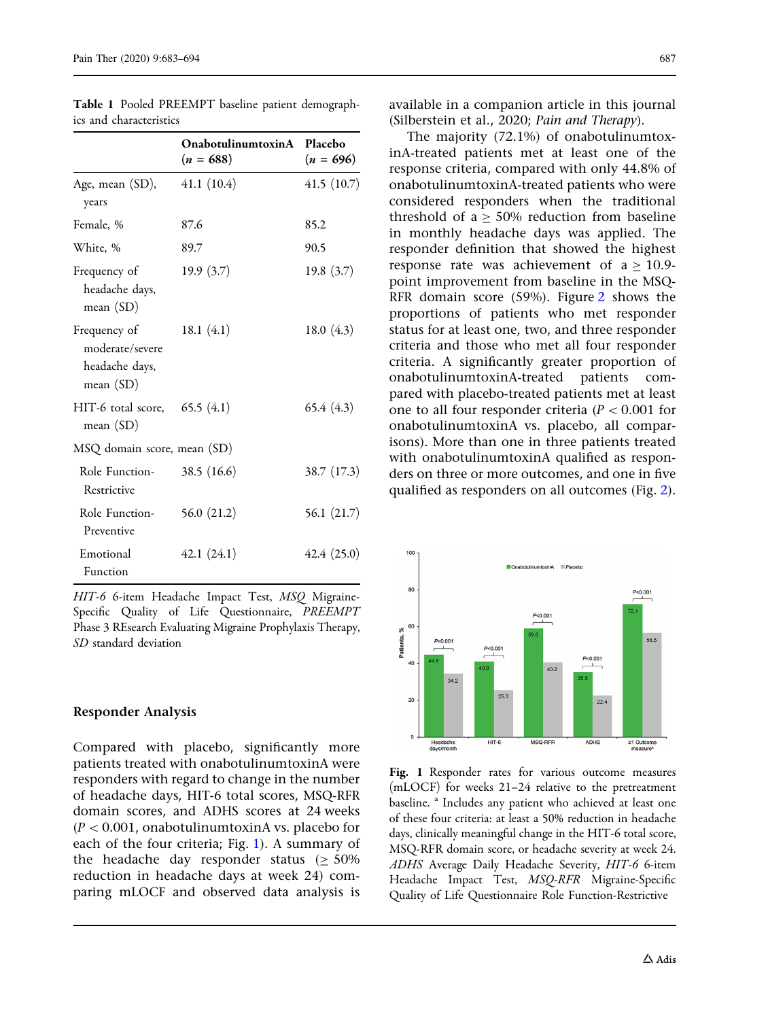|                                                                | OnabotulinumtoxinA Placebo<br>$(n = 688)$ | $(n = 696)$   |
|----------------------------------------------------------------|-------------------------------------------|---------------|
| Age, mean (SD),<br>years                                       | 41.1(10.4)                                | 41.5(10.7)    |
| Female, %                                                      | 87.6                                      | 85.2          |
| White, %                                                       | 89.7                                      | 90.5          |
| Frequency of<br>headache days,<br>mean $(SD)$                  | 19.9(3.7)                                 | 19.8(3.7)     |
| Frequency of<br>moderate/severe<br>headache days,<br>mean (SD) | 18.1 $(4.1)$                              | 18.0 $(4.3)$  |
| $HIT-6$ total score, $65.5(4.1)$<br>mean (SD)                  |                                           | 65.4 (4.3)    |
| MSQ domain score, mean (SD)                                    |                                           |               |
| Role Function- 38.5 (16.6)<br>Restrictive                      |                                           | 38.7 (17.3)   |
| Role Function-<br>Preventive                                   | 56.0 $(21.2)$                             | 56.1 $(21.7)$ |
| Emotional<br>Function                                          | 42.1(24.1)                                | 42.4(25.0)    |

<span id="page-4-0"></span>Table 1 Pooled PREEMPT baseline patient demographics and characteristics

HIT-6 6-item Headache Impact Test, MSQ Migraine-Specific Quality of Life Questionnaire, PREEMPT Phase 3 REsearch Evaluating Migraine Prophylaxis Therapy, SD standard deviation

#### Responder Analysis

Compared with placebo, significantly more patients treated with onabotulinumtoxinA were responders with regard to change in the number of headache days, HIT-6 total scores, MSQ-RFR domain scores, and ADHS scores at 24 weeks  $(P < 0.001$ , onabotulinumtoxinA vs. placebo for each of the four criteria; Fig. 1). A summary of the headache day responder status  $(> 50\%)$ reduction in headache days at week 24) comparing mLOCF and observed data analysis is

available in a companion article in this journal (Silberstein et al., 2020; Pain and Therapy).

The majority (72.1%) of onabotulinumtoxinA-treated patients met at least one of the response criteria, compared with only 44.8% of onabotulinumtoxinA-treated patients who were considered responders when the traditional threshold of a  $\geq$  50% reduction from baseline in monthly headache days was applied. The responder definition that showed the highest response rate was achievement of  $a \ge 10.9$ point improvement from baseline in the MSQ-RFR domain score (59%). Figure [2](#page-5-0) shows the proportions of patients who met responder status for at least one, two, and three responder criteria and those who met all four responder criteria. A significantly greater proportion of onabotulinumtoxinA-treated patients compared with placebo-treated patients met at least one to all four responder criteria ( $P < 0.001$  for onabotulinumtoxinA vs. placebo, all comparisons). More than one in three patients treated with onabotulinumtoxinA qualified as responders on three or more outcomes, and one in five qualified as responders on all outcomes (Fig. [2\)](#page-5-0).



Fig. 1 Responder rates for various outcome measures (mLOCF) for weeks 21–24 relative to the pretreatment baseline.<sup>a</sup> Includes any patient who achieved at least one of these four criteria: at least a 50% reduction in headache days, clinically meaningful change in the HIT-6 total score, MSQ-RFR domain score, or headache severity at week 24. ADHS Average Daily Headache Severity, HIT-6 6-item Headache Impact Test, MSQ-RFR Migraine-Specific Quality of Life Questionnaire Role Function-Restrictive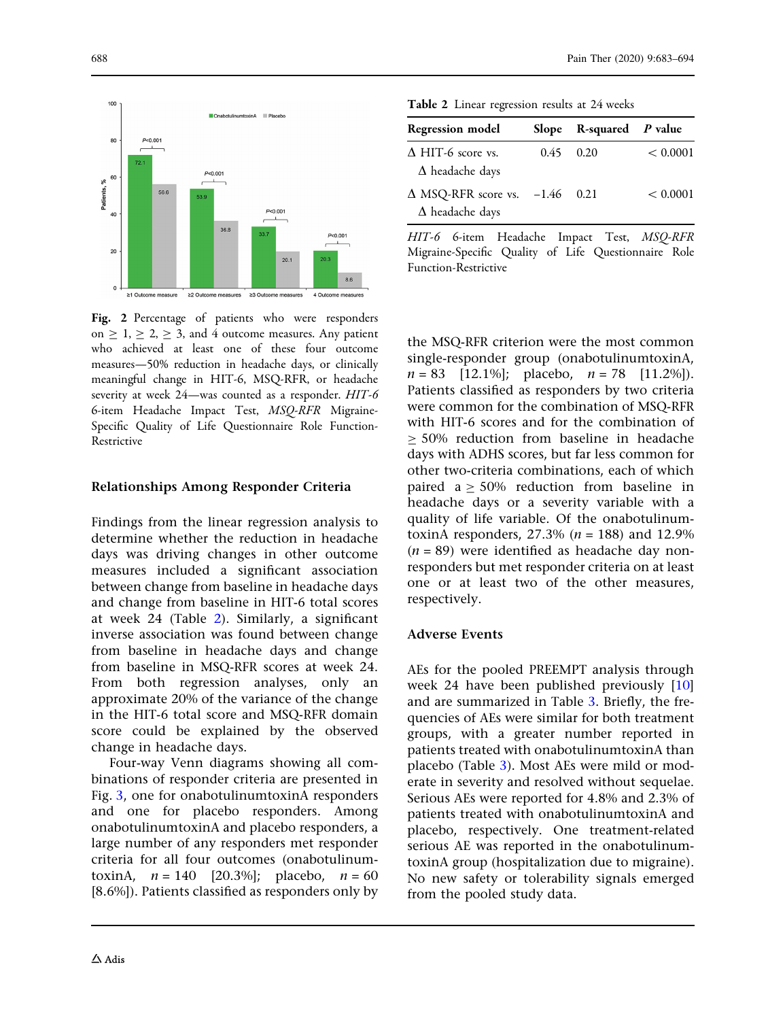<span id="page-5-0"></span>

Fig. 2 Percentage of patients who were responders on  $\geq 1, \geq 2, \geq 3$ , and 4 outcome measures. Any patient who achieved at least one of these four outcome measures—50% reduction in headache days, or clinically meaningful change in HIT-6, MSQ-RFR, or headache severity at week 24—was counted as a responder. HIT-6 6-item Headache Impact Test, MSQ-RFR Migraine-Specific Quality of Life Questionnaire Role Function-Restrictive

### Relationships Among Responder Criteria

Findings from the linear regression analysis to determine whether the reduction in headache days was driving changes in other outcome measures included a significant association between change from baseline in headache days and change from baseline in HIT-6 total scores at week 24 (Table 2). Similarly, a significant inverse association was found between change from baseline in headache days and change from baseline in MSQ-RFR scores at week 24. From both regression analyses, only an approximate 20% of the variance of the change in the HIT-6 total score and MSQ-RFR domain score could be explained by the observed change in headache days.

Four-way Venn diagrams showing all combinations of responder criteria are presented in Fig. [3,](#page-6-0) one for onabotulinumtoxinA responders and one for placebo responders. Among onabotulinumtoxinA and placebo responders, a large number of any responders met responder criteria for all four outcomes (onabotulinumtoxinA,  $n = 140$  [20.3%]; placebo,  $n = 60$ [8.6%]). Patients classified as responders only by

Table 2 Linear regression results at 24 weeks

| <b>Regression model</b>                               | <b>Slope</b> | $R$ -squared $P$ value |          |
|-------------------------------------------------------|--------------|------------------------|----------|
| $\triangle$ HIT-6 score vs.<br>$\Delta$ headache days |              | $0.45$ 0.20            | < 0.0001 |
| $\Delta$ MSQ-RFR score vs.<br>$\Delta$ headache days  | $-1.46$ 0.21 |                        | < 0.0001 |

HIT-6 6-item Headache Impact Test, MSQ-RFR Migraine-Specific Quality of Life Questionnaire Role Function-Restrictive

the MSQ-RFR criterion were the most common single-responder group (onabotulinumtoxinA,  $n = 83$  [12.1%]; placebo,  $n = 78$  [11.2%]). Patients classified as responders by two criteria were common for the combination of MSQ-RFR with HIT-6 scores and for the combination of  $> 50\%$  reduction from baseline in headache days with ADHS scores, but far less common for other two-criteria combinations, each of which paired  $a > 50\%$  reduction from baseline in headache days or a severity variable with a quality of life variable. Of the onabotulinumtoxinA responders,  $27.3\%$  ( $n = 188$ ) and  $12.9\%$  $(n = 89)$  were identified as headache day nonresponders but met responder criteria on at least one or at least two of the other measures, respectively.

### Adverse Events

AEs for the pooled PREEMPT analysis through week 24 have been published previously [[10](#page-10-0)] and are summarized in Table [3.](#page-6-0) Briefly, the frequencies of AEs were similar for both treatment groups, with a greater number reported in patients treated with onabotulinumtoxinA than placebo (Table [3](#page-6-0)). Most AEs were mild or moderate in severity and resolved without sequelae. Serious AEs were reported for 4.8% and 2.3% of patients treated with onabotulinumtoxinA and placebo, respectively. One treatment-related serious AE was reported in the onabotulinumtoxinA group (hospitalization due to migraine). No new safety or tolerability signals emerged from the pooled study data.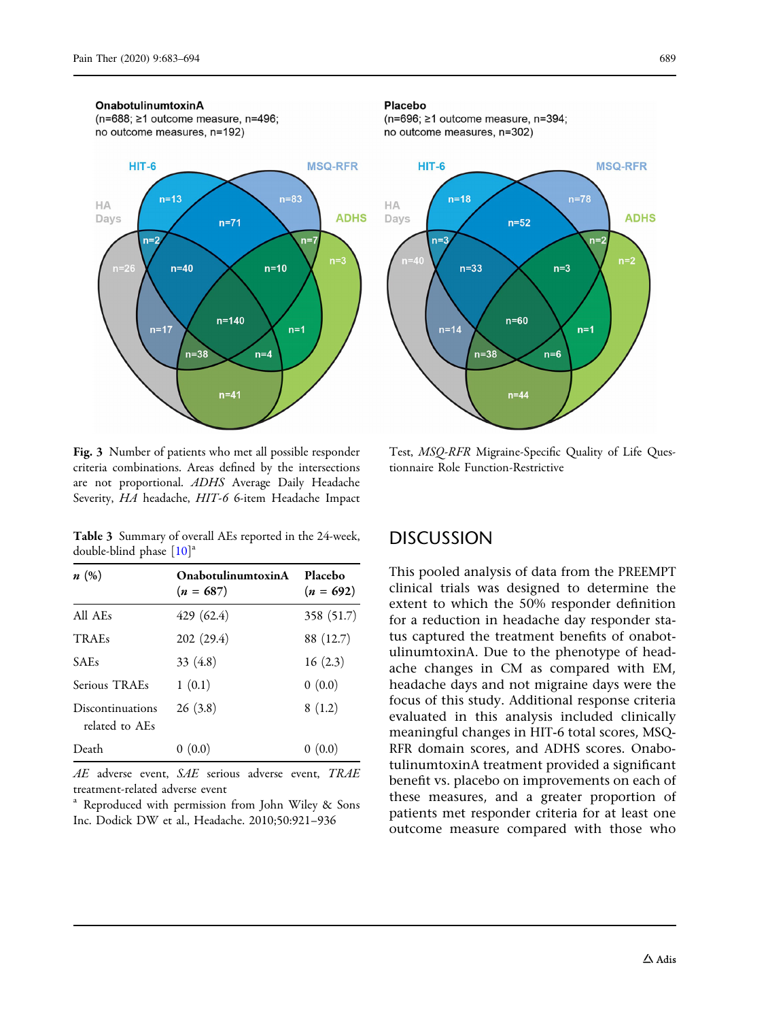#### <span id="page-6-0"></span>**OnabotulinumtoxinA**

(n=688; ≥1 outcome measure, n=496; no outcome measures, n=192)



Fig. 3 Number of patients who met all possible responder criteria combinations. Areas defined by the intersections are not proportional. ADHS Average Daily Headache Severity, HA headache, HIT-6 6-item Headache Impact

Table 3 Summary of overall AEs reported in the 24-week, double-blind phase  $[10]$  $[10]$  $[10]$ <sup>a</sup>

| n(%)                               | <b>OnabotulinumtoxinA</b><br>$(n = 687)$ | Placebo<br>$(n = 692)$ |
|------------------------------------|------------------------------------------|------------------------|
| All AEs                            | 429 (62.4)                               | 358 (51.7)             |
| <b>TRAEs</b>                       | 202 (29.4)                               | 88 (12.7)              |
| <b>SAEs</b>                        | 33 $(4.8)$                               | 16(2.3)                |
| Serious TRAEs                      | 1(0.1)                                   | 0(0.0)                 |
| Discontinuations<br>related to AEs | 26(3.8)                                  | 8(1.2)                 |
| Death                              | 0(0.0)                                   | (0.0)                  |

AE adverse event, SAE serious adverse event, TRAE treatment-related adverse event

Reproduced with permission from John Wiley & Sons Inc. Dodick DW et al., Headache. 2010;50:921–936

#### Placebo

(n=696; ≥1 outcome measure, n=394; no outcome measures, n=302)



Test, MSQ-RFR Migraine-Specific Quality of Life Questionnaire Role Function-Restrictive

### **DISCUSSION**

This pooled analysis of data from the PREEMPT clinical trials was designed to determine the extent to which the 50% responder definition for a reduction in headache day responder status captured the treatment benefits of onabotulinumtoxinA. Due to the phenotype of headache changes in CM as compared with EM, headache days and not migraine days were the focus of this study. Additional response criteria evaluated in this analysis included clinically meaningful changes in HIT-6 total scores, MSQ-RFR domain scores, and ADHS scores. OnabotulinumtoxinA treatment provided a significant benefit vs. placebo on improvements on each of these measures, and a greater proportion of patients met responder criteria for at least one outcome measure compared with those who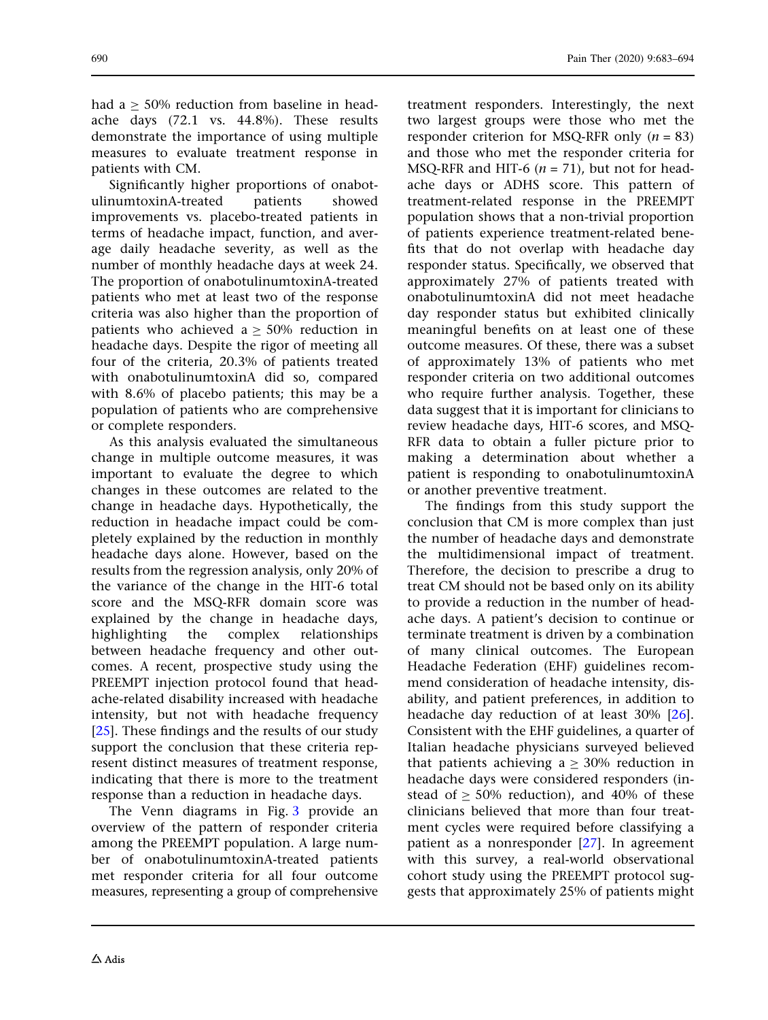had  $a > 50\%$  reduction from baseline in headache days (72.1 vs. 44.8%). These results demonstrate the importance of using multiple

patients with CM. Significantly higher proportions of onabotulinumtoxinA-treated patients showed improvements vs. placebo-treated patients in terms of headache impact, function, and average daily headache severity, as well as the number of monthly headache days at week 24. The proportion of onabotulinumtoxinA-treated patients who met at least two of the response criteria was also higher than the proportion of patients who achieved  $a \ge 50\%$  reduction in headache days. Despite the rigor of meeting all four of the criteria, 20.3% of patients treated with onabotulinumtoxinA did so, compared with 8.6% of placebo patients; this may be a population of patients who are comprehensive or complete responders.

measures to evaluate treatment response in

As this analysis evaluated the simultaneous change in multiple outcome measures, it was important to evaluate the degree to which changes in these outcomes are related to the change in headache days. Hypothetically, the reduction in headache impact could be completely explained by the reduction in monthly headache days alone. However, based on the results from the regression analysis, only 20% of the variance of the change in the HIT-6 total score and the MSQ-RFR domain score was explained by the change in headache days, highlighting the complex relationships between headache frequency and other outcomes. A recent, prospective study using the PREEMPT injection protocol found that headache-related disability increased with headache intensity, but not with headache frequency [\[25\]](#page-11-0). These findings and the results of our study support the conclusion that these criteria represent distinct measures of treatment response, indicating that there is more to the treatment response than a reduction in headache days.

The Venn diagrams in Fig. [3](#page-6-0) provide an overview of the pattern of responder criteria among the PREEMPT population. A large number of onabotulinumtoxinA-treated patients met responder criteria for all four outcome measures, representing a group of comprehensive treatment responders. Interestingly, the next two largest groups were those who met the responder criterion for MSQ-RFR only  $(n = 83)$ and those who met the responder criteria for MSQ-RFR and HIT-6  $(n = 71)$ , but not for headache days or ADHS score. This pattern of treatment-related response in the PREEMPT population shows that a non-trivial proportion of patients experience treatment-related benefits that do not overlap with headache day responder status. Specifically, we observed that approximately 27% of patients treated with onabotulinumtoxinA did not meet headache day responder status but exhibited clinically meaningful benefits on at least one of these outcome measures. Of these, there was a subset of approximately 13% of patients who met responder criteria on two additional outcomes who require further analysis. Together, these data suggest that it is important for clinicians to review headache days, HIT-6 scores, and MSQ-RFR data to obtain a fuller picture prior to making a determination about whether a patient is responding to onabotulinumtoxinA or another preventive treatment.

The findings from this study support the conclusion that CM is more complex than just the number of headache days and demonstrate the multidimensional impact of treatment. Therefore, the decision to prescribe a drug to treat CM should not be based only on its ability to provide a reduction in the number of headache days. A patient's decision to continue or terminate treatment is driven by a combination of many clinical outcomes. The European Headache Federation (EHF) guidelines recommend consideration of headache intensity, disability, and patient preferences, in addition to headache day reduction of at least 30% [[26](#page-11-0)]. Consistent with the EHF guidelines, a quarter of Italian headache physicians surveyed believed that patients achieving  $a \geq 30\%$  reduction in headache days were considered responders (instead of  $\geq$  50% reduction), and 40% of these clinicians believed that more than four treatment cycles were required before classifying a patient as a nonresponder [[27](#page-11-0)]. In agreement with this survey, a real-world observational cohort study using the PREEMPT protocol suggests that approximately 25% of patients might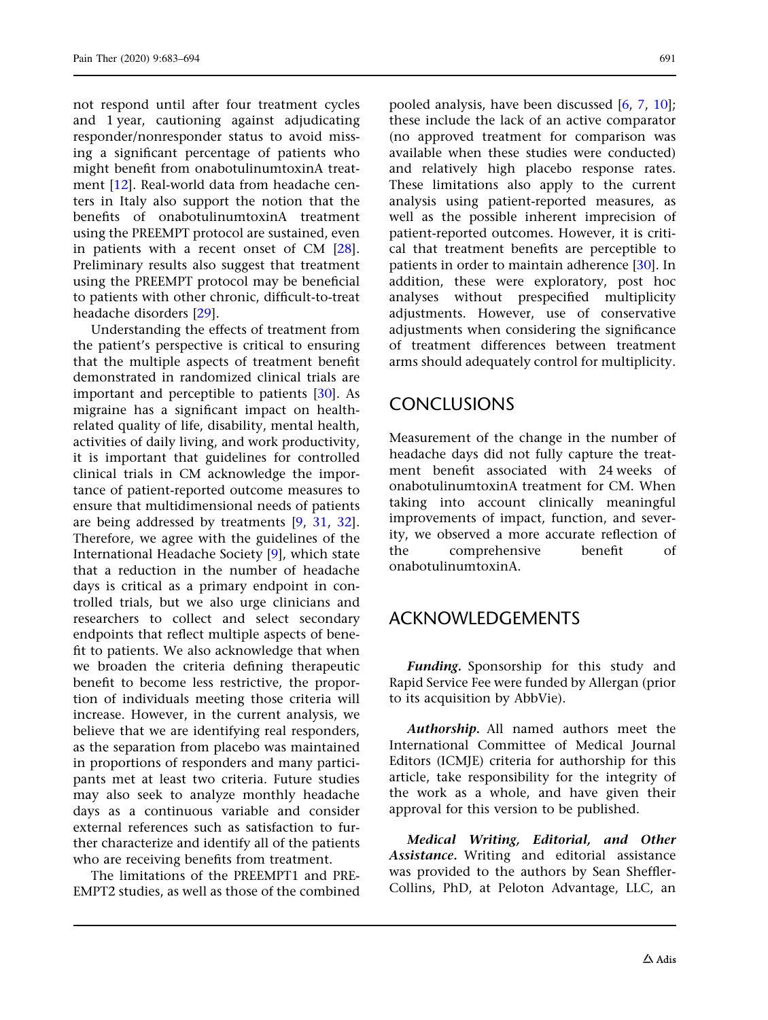not respond until after four treatment cycles and 1 year, cautioning against adjudicating responder/nonresponder status to avoid missing a significant percentage of patients who might benefit from onabotulinumtoxinA treatment [\[12\]](#page-10-0). Real-world data from headache centers in Italy also support the notion that the benefits of onabotulinumtoxinA treatment using the PREEMPT protocol are sustained, even in patients with a recent onset of CM [[28\]](#page-11-0). Preliminary results also suggest that treatment using the PREEMPT protocol may be beneficial to patients with other chronic, difficult-to-treat headache disorders [[29](#page-11-0)].

Understanding the effects of treatment from the patient's perspective is critical to ensuring that the multiple aspects of treatment benefit demonstrated in randomized clinical trials are important and perceptible to patients [\[30\]](#page-11-0). As migraine has a significant impact on healthrelated quality of life, disability, mental health, activities of daily living, and work productivity, it is important that guidelines for controlled clinical trials in CM acknowledge the importance of patient-reported outcome measures to ensure that multidimensional needs of patients are being addressed by treatments [\[9](#page-10-0), [31](#page-11-0), [32\]](#page-11-0). Therefore, we agree with the guidelines of the International Headache Society [\[9\]](#page-10-0), which state that a reduction in the number of headache days is critical as a primary endpoint in controlled trials, but we also urge clinicians and researchers to collect and select secondary endpoints that reflect multiple aspects of benefit to patients. We also acknowledge that when we broaden the criteria defining therapeutic benefit to become less restrictive, the proportion of individuals meeting those criteria will increase. However, in the current analysis, we believe that we are identifying real responders, as the separation from placebo was maintained in proportions of responders and many participants met at least two criteria. Future studies may also seek to analyze monthly headache days as a continuous variable and consider external references such as satisfaction to further characterize and identify all of the patients who are receiving benefits from treatment.

The limitations of the PREEMPT1 and PRE-EMPT2 studies, as well as those of the combined pooled analysis, have been discussed [\[6](#page-10-0), [7](#page-10-0), [10](#page-10-0)]; these include the lack of an active comparator (no approved treatment for comparison was available when these studies were conducted) and relatively high placebo response rates. These limitations also apply to the current analysis using patient-reported measures, as well as the possible inherent imprecision of patient-reported outcomes. However, it is critical that treatment benefits are perceptible to patients in order to maintain adherence [[30](#page-11-0)]. In addition, these were exploratory, post hoc analyses without prespecified multiplicity adjustments. However, use of conservative adjustments when considering the significance of treatment differences between treatment arms should adequately control for multiplicity.

## **CONCLUSIONS**

Measurement of the change in the number of headache days did not fully capture the treatment benefit associated with 24 weeks of onabotulinumtoxinA treatment for CM. When taking into account clinically meaningful improvements of impact, function, and severity, we observed a more accurate reflection of the comprehensive benefit of onabotulinumtoxinA.

### ACKNOWLEDGEMENTS

Funding. Sponsorship for this study and Rapid Service Fee were funded by Allergan (prior to its acquisition by AbbVie).

Authorship. All named authors meet the International Committee of Medical Journal Editors (ICMJE) criteria for authorship for this article, take responsibility for the integrity of the work as a whole, and have given their approval for this version to be published.

Medical Writing, Editorial, and Other Assistance. Writing and editorial assistance was provided to the authors by Sean Sheffler-Collins, PhD, at Peloton Advantage, LLC, an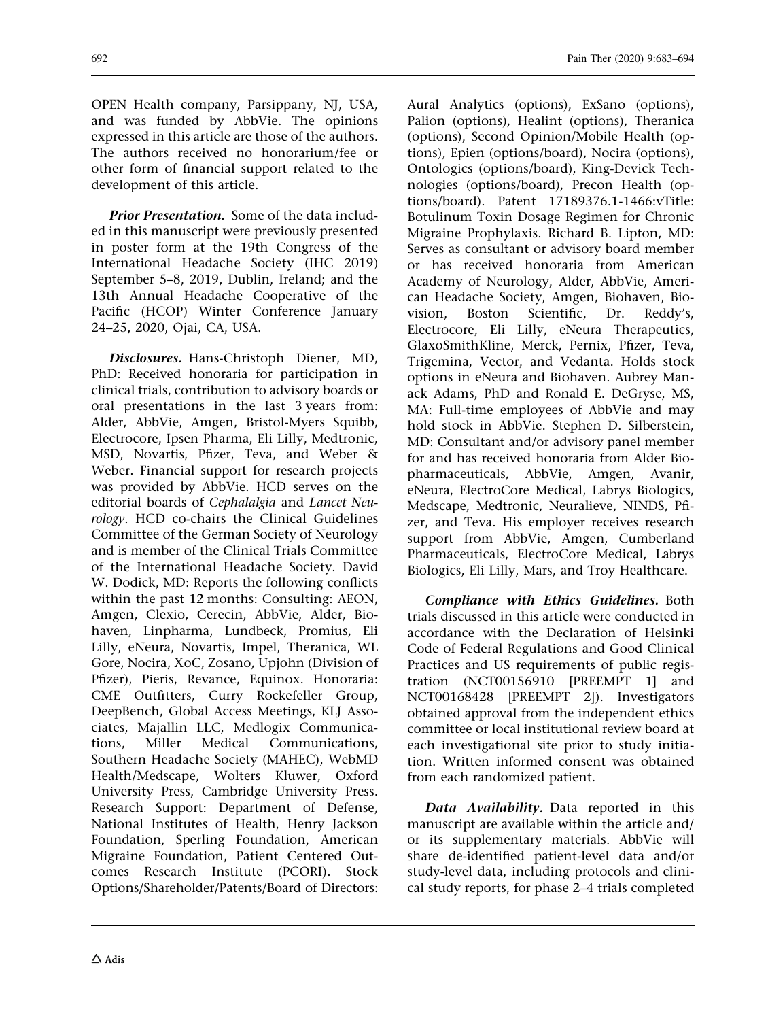OPEN Health company, Parsippany, NJ, USA, and was funded by AbbVie. The opinions expressed in this article are those of the authors. The authors received no honorarium/fee or other form of financial support related to the development of this article.

Prior Presentation. Some of the data included in this manuscript were previously presented in poster form at the 19th Congress of the International Headache Society (IHC 2019) September 5–8, 2019, Dublin, Ireland; and the 13th Annual Headache Cooperative of the Pacific (HCOP) Winter Conference January 24–25, 2020, Ojai, CA, USA.

Disclosures. Hans-Christoph Diener, MD, PhD: Received honoraria for participation in clinical trials, contribution to advisory boards or oral presentations in the last 3 years from: Alder, AbbVie, Amgen, Bristol-Myers Squibb, Electrocore, Ipsen Pharma, Eli Lilly, Medtronic, MSD, Novartis, Pfizer, Teva, and Weber & Weber. Financial support for research projects was provided by AbbVie. HCD serves on the editorial boards of Cephalalgia and Lancet Neurology. HCD co-chairs the Clinical Guidelines Committee of the German Society of Neurology and is member of the Clinical Trials Committee of the International Headache Society. David W. Dodick, MD: Reports the following conflicts within the past 12 months: Consulting: AEON, Amgen, Clexio, Cerecin, AbbVie, Alder, Biohaven, Linpharma, Lundbeck, Promius, Eli Lilly, eNeura, Novartis, Impel, Theranica, WL Gore, Nocira, XoC, Zosano, Upjohn (Division of Pfizer), Pieris, Revance, Equinox. Honoraria: CME Outfitters, Curry Rockefeller Group, DeepBench, Global Access Meetings, KLJ Associates, Majallin LLC, Medlogix Communications, Miller Medical Communications, Southern Headache Society (MAHEC), WebMD Health/Medscape, Wolters Kluwer, Oxford University Press, Cambridge University Press. Research Support: Department of Defense, National Institutes of Health, Henry Jackson Foundation, Sperling Foundation, American Migraine Foundation, Patient Centered Outcomes Research Institute (PCORI). Stock Options/Shareholder/Patents/Board of Directors:

Aural Analytics (options), ExSano (options), Palion (options), Healint (options), Theranica (options), Second Opinion/Mobile Health (options), Epien (options/board), Nocira (options), Ontologics (options/board), King-Devick Technologies (options/board), Precon Health (options/board). Patent 17189376.1-1466:vTitle: Botulinum Toxin Dosage Regimen for Chronic Migraine Prophylaxis. Richard B. Lipton, MD: Serves as consultant or advisory board member or has received honoraria from American Academy of Neurology, Alder, AbbVie, American Headache Society, Amgen, Biohaven, Biovision, Boston Scientific, Dr. Reddy's, Electrocore, Eli Lilly, eNeura Therapeutics, GlaxoSmithKline, Merck, Pernix, Pfizer, Teva, Trigemina, Vector, and Vedanta. Holds stock options in eNeura and Biohaven. Aubrey Manack Adams, PhD and Ronald E. DeGryse, MS, MA: Full-time employees of AbbVie and may hold stock in AbbVie. Stephen D. Silberstein, MD: Consultant and/or advisory panel member for and has received honoraria from Alder Biopharmaceuticals, AbbVie, Amgen, Avanir, eNeura, ElectroCore Medical, Labrys Biologics, Medscape, Medtronic, Neuralieve, NINDS, Pfizer, and Teva. His employer receives research support from AbbVie, Amgen, Cumberland Pharmaceuticals, ElectroCore Medical, Labrys Biologics, Eli Lilly, Mars, and Troy Healthcare.

Compliance with Ethics Guidelines. Both trials discussed in this article were conducted in accordance with the Declaration of Helsinki Code of Federal Regulations and Good Clinical Practices and US requirements of public registration (NCT00156910 [PREEMPT 1] and NCT00168428 [PREEMPT 2]). Investigators obtained approval from the independent ethics committee or local institutional review board at each investigational site prior to study initiation. Written informed consent was obtained from each randomized patient.

Data Availability. Data reported in this manuscript are available within the article and/ or its supplementary materials. AbbVie will share de-identified patient-level data and/or study-level data, including protocols and clinical study reports, for phase 2–4 trials completed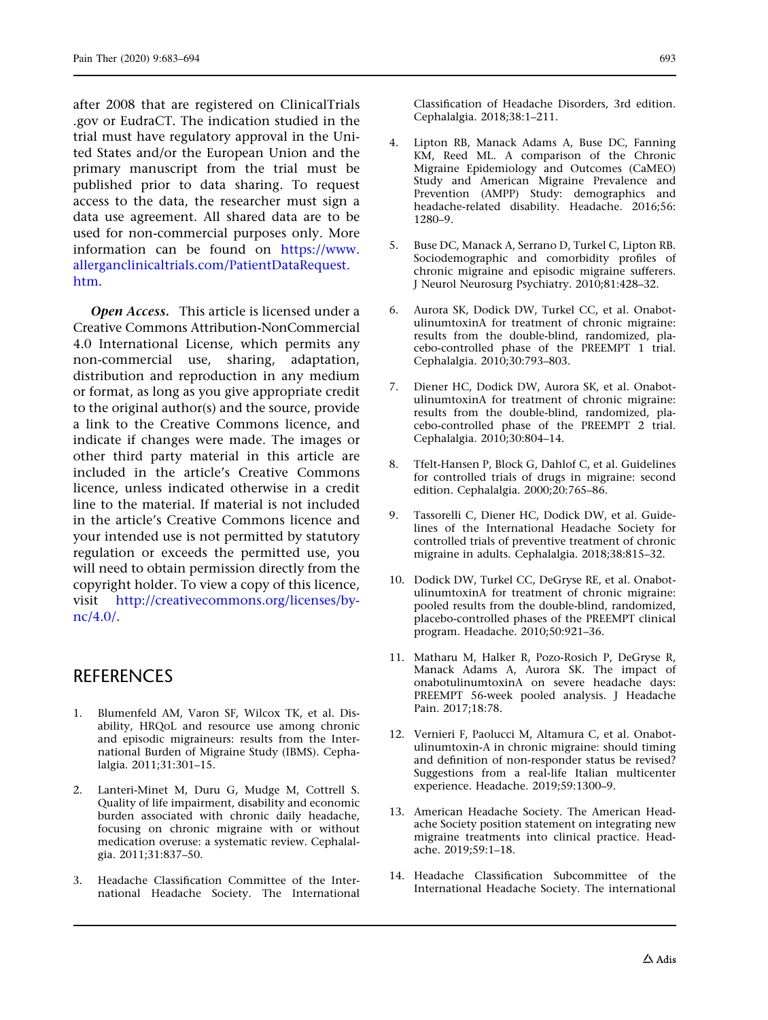<span id="page-10-0"></span>after 2008 that are registered on ClinicalTrials .gov or EudraCT. The indication studied in the trial must have regulatory approval in the United States and/or the European Union and the primary manuscript from the trial must be published prior to data sharing. To request access to the data, the researcher must sign a data use agreement. All shared data are to be used for non-commercial purposes only. More information can be found on [https://www.](https://www.allerganclinicaltrials.com/PatientDataRequest.htm) [allerganclinicaltrials.com/PatientDataRequest.](https://www.allerganclinicaltrials.com/PatientDataRequest.htm) [htm](https://www.allerganclinicaltrials.com/PatientDataRequest.htm).

Open Access. This article is licensed under a Creative Commons Attribution-NonCommercial 4.0 International License, which permits any non-commercial use, sharing, adaptation, distribution and reproduction in any medium or format, as long as you give appropriate credit to the original author(s) and the source, provide a link to the Creative Commons licence, and indicate if changes were made. The images or other third party material in this article are included in the article's Creative Commons licence, unless indicated otherwise in a credit line to the material. If material is not included in the article's Creative Commons licence and your intended use is not permitted by statutory regulation or exceeds the permitted use, you will need to obtain permission directly from the copyright holder. To view a copy of this licence, visit [http://creativecommons.org/licenses/by](http://creativecommons.org/licenses/by-nc/4.0/)[nc/4.0/](http://creativecommons.org/licenses/by-nc/4.0/).

## **REFERENCES**

- 1. Blumenfeld AM, Varon SF, Wilcox TK, et al. Disability, HRQoL and resource use among chronic and episodic migraineurs: results from the International Burden of Migraine Study (IBMS). Cephalalgia. 2011;31:301–15.
- 2. Lanteri-Minet M, Duru G, Mudge M, Cottrell S. Quality of life impairment, disability and economic burden associated with chronic daily headache, focusing on chronic migraine with or without medication overuse: a systematic review. Cephalalgia. 2011;31:837–50.
- 3. Headache Classification Committee of the International Headache Society. The International

Classification of Headache Disorders, 3rd edition. Cephalalgia. 2018;38:1–211.

- 4. Lipton RB, Manack Adams A, Buse DC, Fanning KM, Reed ML. A comparison of the Chronic Migraine Epidemiology and Outcomes (CaMEO) Study and American Migraine Prevalence and Prevention (AMPP) Study: demographics and headache-related disability. Headache. 2016;56: 1280–9.
- 5. Buse DC, Manack A, Serrano D, Turkel C, Lipton RB. Sociodemographic and comorbidity profiles of chronic migraine and episodic migraine sufferers. J Neurol Neurosurg Psychiatry. 2010;81:428–32.
- 6. Aurora SK, Dodick DW, Turkel CC, et al. OnabotulinumtoxinA for treatment of chronic migraine: results from the double-blind, randomized, placebo-controlled phase of the PREEMPT 1 trial. Cephalalgia. 2010;30:793–803.
- 7. Diener HC, Dodick DW, Aurora SK, et al. OnabotulinumtoxinA for treatment of chronic migraine: results from the double-blind, randomized, placebo-controlled phase of the PREEMPT 2 trial. Cephalalgia. 2010;30:804–14.
- 8. Tfelt-Hansen P, Block G, Dahlof C, et al. Guidelines for controlled trials of drugs in migraine: second edition. Cephalalgia. 2000;20:765–86.
- 9. Tassorelli C, Diener HC, Dodick DW, et al. Guidelines of the International Headache Society for controlled trials of preventive treatment of chronic migraine in adults. Cephalalgia. 2018;38:815–32.
- 10. Dodick DW, Turkel CC, DeGryse RE, et al. OnabotulinumtoxinA for treatment of chronic migraine: pooled results from the double-blind, randomized, placebo-controlled phases of the PREEMPT clinical program. Headache. 2010;50:921–36.
- 11. Matharu M, Halker R, Pozo-Rosich P, DeGryse R, Manack Adams A, Aurora SK. The impact of onabotulinumtoxinA on severe headache days: PREEMPT 56-week pooled analysis. J Headache Pain. 2017;18:78.
- 12. Vernieri F, Paolucci M, Altamura C, et al. Onabotulinumtoxin-A in chronic migraine: should timing and definition of non-responder status be revised? Suggestions from a real-life Italian multicenter experience. Headache. 2019;59:1300–9.
- 13. American Headache Society. The American Headache Society position statement on integrating new migraine treatments into clinical practice. Headache. 2019;59:1–18.
- 14. Headache Classification Subcommittee of the International Headache Society. The international